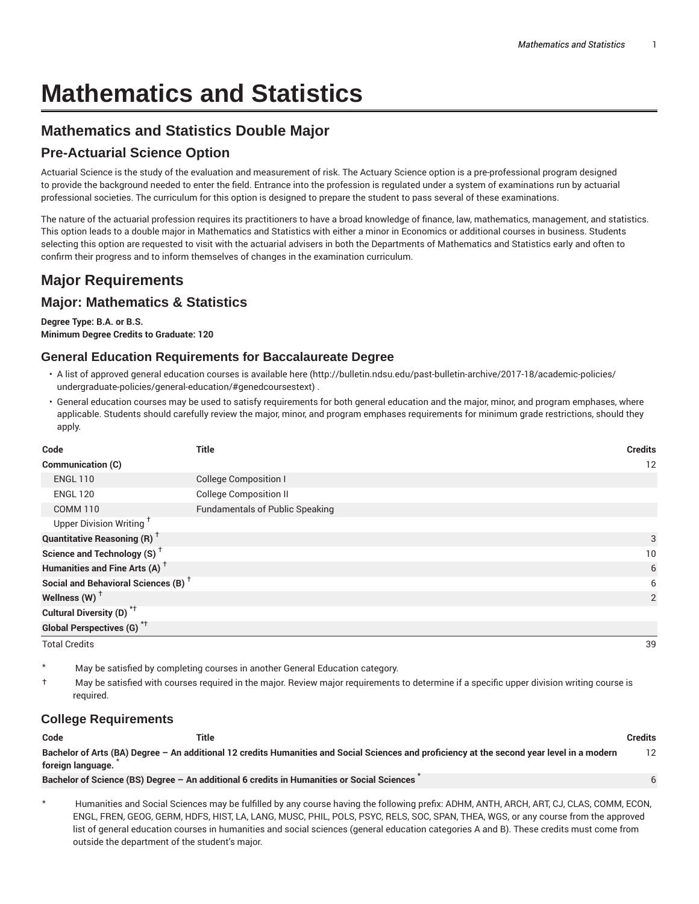# **Mathematics and Statistics**

## **Mathematics and Statistics Double Major**

## **Pre-Actuarial Science Option**

Actuarial Science is the study of the evaluation and measurement of risk. The Actuary Science option is a pre-professional program designed to provide the background needed to enter the field. Entrance into the profession is regulated under a system of examinations run by actuarial professional societies. The curriculum for this option is designed to prepare the student to pass several of these examinations.

The nature of the actuarial profession requires its practitioners to have a broad knowledge of finance, law, mathematics, management, and statistics. This option leads to a double major in Mathematics and Statistics with either a minor in Economics or additional courses in business. Students selecting this option are requested to visit with the actuarial advisers in both the Departments of Mathematics and Statistics early and often to confirm their progress and to inform themselves of changes in the examination curriculum.

# **Major Requirements**

## **Major: Mathematics & Statistics**

**Degree Type: B.A. or B.S. Minimum Degree Credits to Graduate: 120**

#### **General Education Requirements for Baccalaureate Degree**

- A list of approved general education courses is available here (http://bulletin.ndsu.edu/past-bulletin-archive/2017-18/academic-policies/ undergraduate-policies/general-education/#genedcoursestext) .
- General education courses may be used to satisfy requirements for both general education and the major, minor, and program emphases, where applicable. Students should carefully review the major, minor, and program emphases requirements for minimum grade restrictions, should they apply.

| Code                                            | <b>Title</b>                           | <b>Credits</b> |
|-------------------------------------------------|----------------------------------------|----------------|
| Communication (C)                               |                                        | 12             |
| <b>ENGL 110</b>                                 | <b>College Composition I</b>           |                |
| <b>ENGL 120</b>                                 | <b>College Composition II</b>          |                |
| <b>COMM 110</b>                                 | <b>Fundamentals of Public Speaking</b> |                |
| Upper Division Writing <sup>+</sup>             |                                        |                |
| <b>Quantitative Reasoning (R)</b> <sup>†</sup>  |                                        | 3              |
| Science and Technology (S) <sup>+</sup>         |                                        | 10             |
| Humanities and Fine Arts (A) <sup>+</sup>       |                                        | 6              |
| Social and Behavioral Sciences (B) <sup>+</sup> |                                        | 6              |
| Wellness (W) $^{\dagger}$                       |                                        | 2              |
| Cultural Diversity (D) <sup>*†</sup>            |                                        |                |
| <b>Global Perspectives (G)</b> <sup>*†</sup>    |                                        |                |
| <b>Total Credits</b>                            |                                        | 39             |

May be satisfied by completing courses in another General Education category.

† May be satisfied with courses required in the major. Review major requirements to determine if a specific upper division writing course is required.

#### **College Requirements**

| Code              | Title                                                                                                                                       | Credits |
|-------------------|---------------------------------------------------------------------------------------------------------------------------------------------|---------|
|                   | Bachelor of Arts (BA) Degree - An additional 12 credits Humanities and Social Sciences and proficiency at the second year level in a modern | 12      |
| foreign language. |                                                                                                                                             |         |
|                   | Bachelor of Science (BS) Degree - An additional 6 credits in Humanities or Social Sciences                                                  |         |

Humanities and Social Sciences may be fulfilled by any course having the following prefix: ADHM, ANTH, ARCH, ART, CJ, CLAS, COMM, ECON, ENGL, FREN, GEOG, GERM, HDFS, HIST, LA, LANG, MUSC, PHIL, POLS, PSYC, RELS, SOC, SPAN, THEA, WGS, or any course from the approved list of general education courses in humanities and social sciences (general education categories A and B). These credits must come from outside the department of the student's major.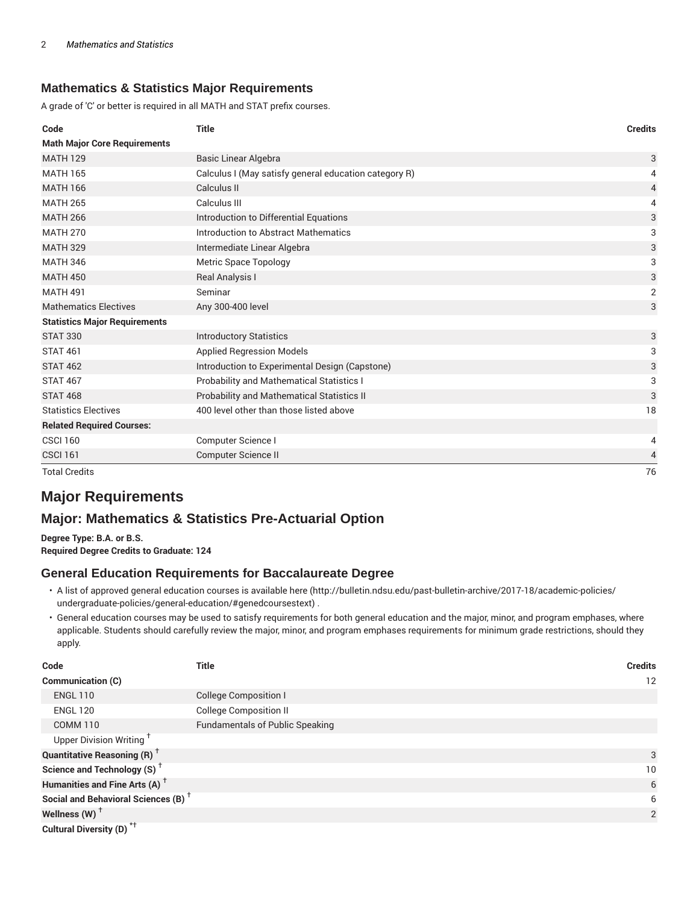#### **Mathematics & Statistics Major Requirements**

A grade of 'C' or better is required in all MATH and STAT prefix courses.

| Code                                 | <b>Title</b>                                          | <b>Credits</b> |
|--------------------------------------|-------------------------------------------------------|----------------|
| <b>Math Major Core Requirements</b>  |                                                       |                |
| <b>MATH 129</b>                      | <b>Basic Linear Algebra</b>                           | 3              |
| <b>MATH 165</b>                      | Calculus I (May satisfy general education category R) | 4              |
| <b>MATH 166</b>                      | Calculus II                                           | 4              |
| <b>MATH 265</b>                      | Calculus III                                          | 4              |
| <b>MATH 266</b>                      | Introduction to Differential Equations                | 3              |
| <b>MATH 270</b>                      | Introduction to Abstract Mathematics                  | 3              |
| <b>MATH 329</b>                      | Intermediate Linear Algebra                           | 3              |
| <b>MATH 346</b>                      | Metric Space Topology                                 | 3              |
| <b>MATH 450</b>                      | Real Analysis I                                       | 3              |
| <b>MATH 491</b>                      | Seminar                                               | $\overline{2}$ |
| <b>Mathematics Electives</b>         | Any 300-400 level                                     | 3              |
| <b>Statistics Major Requirements</b> |                                                       |                |
| <b>STAT 330</b>                      | <b>Introductory Statistics</b>                        | 3              |
| <b>STAT 461</b>                      | <b>Applied Regression Models</b>                      | 3              |
| <b>STAT 462</b>                      | Introduction to Experimental Design (Capstone)        | 3              |
| <b>STAT 467</b>                      | Probability and Mathematical Statistics I             | 3              |
| <b>STAT 468</b>                      | Probability and Mathematical Statistics II            | 3              |
| <b>Statistics Electives</b>          | 400 level other than those listed above               | 18             |
| <b>Related Required Courses:</b>     |                                                       |                |
| <b>CSCI 160</b>                      | Computer Science I                                    | 4              |
| <b>CSCI 161</b>                      | <b>Computer Science II</b>                            | 4              |
| <b>Total Credits</b>                 |                                                       | 76             |

## **Major Requirements**

## **Major: Mathematics & Statistics Pre-Actuarial Option**

**Degree Type: B.A. or B.S. Required Degree Credits to Graduate: 124**

#### **General Education Requirements for Baccalaureate Degree**

- A list of approved general education courses is available here (http://bulletin.ndsu.edu/past-bulletin-archive/2017-18/academic-policies/ undergraduate-policies/general-education/#genedcoursestext) .
- General education courses may be used to satisfy requirements for both general education and the major, minor, and program emphases, where applicable. Students should carefully review the major, minor, and program emphases requirements for minimum grade restrictions, should they apply.

| Code                                                 | Title                                  | <b>Credits</b>  |
|------------------------------------------------------|----------------------------------------|-----------------|
| Communication (C)                                    |                                        | 12              |
| <b>ENGL 110</b>                                      | College Composition I                  |                 |
| <b>ENGL 120</b>                                      | <b>College Composition II</b>          |                 |
| <b>COMM 110</b>                                      | <b>Fundamentals of Public Speaking</b> |                 |
| Upper Division Writing <sup>+</sup>                  |                                        |                 |
| <b>Quantitative Reasoning (R)</b> <sup>†</sup>       |                                        | 3               |
| Science and Technology (S) <sup><math>†</math></sup> |                                        | 10 <sup>°</sup> |
| Humanities and Fine Arts (A) <sup>+</sup>            |                                        | 6               |
| Social and Behavioral Sciences (B) <sup>+</sup>      |                                        | 6               |
| Wellness $(W)$ <sup>+</sup>                          |                                        | 2               |
| Cultural Diversity (D) <sup>*†</sup>                 |                                        |                 |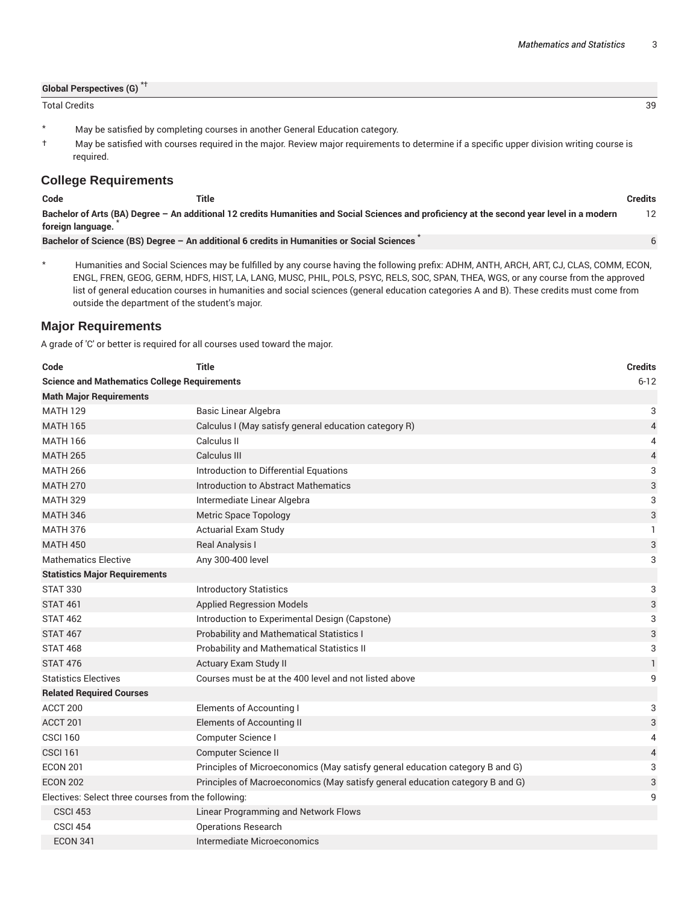| <b>Global Perspectives (G)</b> |    |
|--------------------------------|----|
| <b>Total Credits</b>           | 39 |

- \* May be satisfied by completing courses in another General Education category.
- † May be satisfied with courses required in the major. Review major requirements to determine if a specific upper division writing course is required.

#### **College Requirements**

| Code              | Title                                                                                                                                       | Credits |
|-------------------|---------------------------------------------------------------------------------------------------------------------------------------------|---------|
|                   | Bachelor of Arts (BA) Degree - An additional 12 credits Humanities and Social Sciences and proficiency at the second year level in a modern |         |
| foreign language. |                                                                                                                                             |         |
|                   | Bachelor of Science (BS) Degree - An additional 6 credits in Humanities or Social Sciences                                                  |         |

\* Humanities and Social Sciences may be fulfilled by any course having the following prefix: ADHM, ANTH, ARCH, ART, CJ, CLAS, COMM, ECON, ENGL, FREN, GEOG, GERM, HDFS, HIST, LA, LANG, MUSC, PHIL, POLS, PSYC, RELS, SOC, SPAN, THEA, WGS, or any course from the approved list of general education courses in humanities and social sciences (general education categories A and B). These credits must come from outside the department of the student's major.

#### **Major Requirements**

A grade of 'C' or better is required for all courses used toward the major.

| Code                                                | <b>Title</b>                                                                  | <b>Credits</b> |
|-----------------------------------------------------|-------------------------------------------------------------------------------|----------------|
| <b>Science and Mathematics College Requirements</b> |                                                                               | $6 - 12$       |
| <b>Math Major Requirements</b>                      |                                                                               |                |
| <b>MATH 129</b>                                     | Basic Linear Algebra                                                          | 3              |
| <b>MATH 165</b>                                     | Calculus I (May satisfy general education category R)                         | $\overline{4}$ |
| <b>MATH 166</b>                                     | Calculus II                                                                   | 4              |
| <b>MATH 265</b>                                     | Calculus III                                                                  | 4              |
| <b>MATH 266</b>                                     | Introduction to Differential Equations                                        | 3              |
| <b>MATH 270</b>                                     | Introduction to Abstract Mathematics                                          | $\sqrt{3}$     |
| <b>MATH 329</b>                                     | Intermediate Linear Algebra                                                   | 3              |
| <b>MATH 346</b>                                     | <b>Metric Space Topology</b>                                                  | 3              |
| <b>MATH 376</b>                                     | <b>Actuarial Exam Study</b>                                                   | $\mathbf{1}$   |
| <b>MATH 450</b>                                     | Real Analysis I                                                               | 3              |
| <b>Mathematics Elective</b>                         | Any 300-400 level                                                             | 3              |
| <b>Statistics Major Requirements</b>                |                                                                               |                |
| <b>STAT 330</b>                                     | <b>Introductory Statistics</b>                                                | 3              |
| <b>STAT 461</b>                                     | <b>Applied Regression Models</b>                                              | 3              |
| <b>STAT 462</b>                                     | Introduction to Experimental Design (Capstone)                                | 3              |
| <b>STAT 467</b>                                     | <b>Probability and Mathematical Statistics I</b>                              | 3              |
| <b>STAT 468</b>                                     | Probability and Mathematical Statistics II                                    | 3              |
| <b>STAT 476</b>                                     | Actuary Exam Study II                                                         | $\mathbf{1}$   |
| <b>Statistics Electives</b>                         | Courses must be at the 400 level and not listed above                         | 9              |
| <b>Related Required Courses</b>                     |                                                                               |                |
| ACCT 200                                            | <b>Elements of Accounting I</b>                                               | 3              |
| ACCT <sub>201</sub>                                 | Elements of Accounting II                                                     | $\sqrt{3}$     |
| <b>CSCI 160</b>                                     | Computer Science I                                                            | 4              |
| <b>CSCI 161</b>                                     | Computer Science II                                                           | 4              |
| <b>ECON 201</b>                                     | Principles of Microeconomics (May satisfy general education category B and G) | 3              |
| <b>ECON 202</b>                                     | Principles of Macroeconomics (May satisfy general education category B and G) | 3              |
| Electives: Select three courses from the following: |                                                                               | 9              |
| <b>CSCI 453</b>                                     | Linear Programming and Network Flows                                          |                |
| <b>CSCI 454</b>                                     | <b>Operations Research</b>                                                    |                |
| <b>ECON 341</b>                                     | Intermediate Microeconomics                                                   |                |